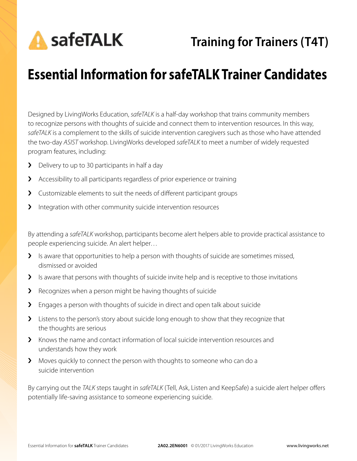**A** safeTALK

# **Essential Information for safeTALK Trainer Candidates**

Designed by LivingWorks Education, *safeTALK* is a half-day workshop that trains community members to recognize persons with thoughts of suicide and connect them to intervention resources. In this way, *safeTALK* is a complement to the skills of suicide intervention caregivers such as those who have attended the two-day *ASIST* workshop. LivingWorks developed *safeTALK* to meet a number of widely requested program features, including:

- **>** Delivery to up to 30 participants in half a day
- › Accessibility to all participants regardless of prior experience or training
- › Customizable elements to suit the needs of different participant groups
- > Integration with other community suicide intervention resources

By attending a *safeTALK* workshop, participants become alert helpers able to provide practical assistance to people experiencing suicide. An alert helper…

- > Is aware that opportunities to help a person with thoughts of suicide are sometimes missed, dismissed or avoided
- I Is aware that persons with thoughts of suicide invite help and is receptive to those invitations
- > Recognizes when a person might be having thoughts of suicide
- > Engages a person with thoughts of suicide in direct and open talk about suicide
- > Listens to the person's story about suicide long enough to show that they recognize that the thoughts are serious
- $\blacktriangleright$  Knows the name and contact information of local suicide intervention resources and understands how they work
- › Moves quickly to connect the person with thoughts to someone who can do a suicide intervention

By carrying out the *TALK* steps taught in *safeTALK* (Tell, Ask, Listen and KeepSafe) a suicide alert helper offers potentially life-saving assistance to someone experiencing suicide.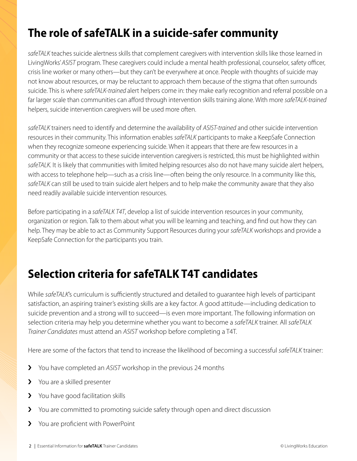## **The role of safeTALK in a suicide-safer community**

*safeTALK* teaches suicide alertness skills that complement caregivers with intervention skills like those learned in LivingWorks' *ASIST* program. These caregivers could include a mental health professional, counselor, safety officer, crisis line worker or many others—but they can't be everywhere at once. People with thoughts of suicide may not know about resources, or may be reluctant to approach them because of the stigma that often surrounds suicide. This is where *safeTALK-trained* alert helpers come in: they make early recognition and referral possible on a far larger scale than communities can afford through intervention skills training alone. With more *safeTALK-trained* helpers, suicide intervention caregivers will be used more often.

*safeTALK* trainers need to identify and determine the availability of *ASIST-trained* and other suicide intervention resources in their community. This information enables *safeTALK* participants to make a KeepSafe Connection when they recognize someone experiencing suicide. When it appears that there are few resources in a community or that access to these suicide intervention caregivers is restricted, this must be highlighted within *safeTALK*. It is likely that communities with limited helping resources also do not have many suicide alert helpers, with access to telephone help—such as a crisis line—often being the only resource. In a community like this, *safeTALK* can still be used to train suicide alert helpers and to help make the community aware that they also need readily available suicide intervention resources.

Before participating in a *safeTALK T4T*, develop a list of suicide intervention resources in your community, organization or region. Talk to them about what you will be learning and teaching, and find out how they can help. They may be able to act as Community Support Resources during your *safeTALK* workshops and provide a KeepSafe Connection for the participants you train.

## **Selection criteria for safeTALK T4T candidates**

While *safeTALK*'s curriculum is sufficiently structured and detailed to guarantee high levels of participant satisfaction, an aspiring trainer's existing skills are a key factor. A good attitude—including dedication to suicide prevention and a strong will to succeed—is even more important. The following information on selection criteria may help you determine whether you want to become a *safeTALK* trainer. All *safeTALK Trainer Candidates* must attend an *ASIST* workshop before completing a T4T.

Here are some of the factors that tend to increase the likelihood of becoming a successful *safeTALK* trainer:

- › You have completed an *ASIST* workshop in the previous 24 months
- > You are a skilled presenter
- > You have good facilitation skills
- › You are committed to promoting suicide safety through open and direct discussion
- › You are proficient with PowerPoint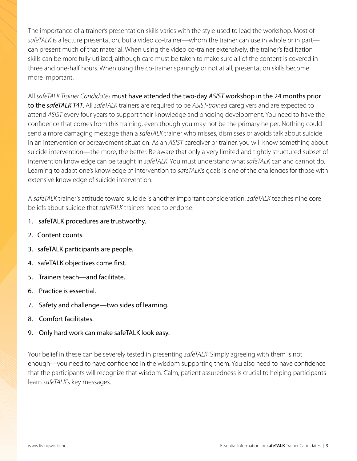The importance of a trainer's presentation skills varies with the style used to lead the workshop. Most of *safeTALK* is a lecture presentation, but a video co-trainer—whom the trainer can use in whole or in part can present much of that material. When using the video co-trainer extensively, the trainer's facilitation skills can be more fully utilized, although care must be taken to make sure all of the content is covered in three and one-half hours. When using the co-trainer sparingly or not at all, presentation skills become more important.

All *safeTALK Trainer Candidates* must have attended the two-day *ASIST* workshop in the 24 months prior to the *safeTALK T4T*. All *safeTALK* trainers are required to be *ASIST-trained* caregivers and are expected to attend *ASIST* every four years to support their knowledge and ongoing development. You need to have the confidence that comes from this training, even though you may not be the primary helper. Nothing could send a more damaging message than a *safeTALK* trainer who misses, dismisses or avoids talk about suicide in an intervention or bereavement situation. As an *ASIST* caregiver or trainer, you will know something about suicide intervention—the more, the better. Be aware that only a very limited and tightly structured subset of intervention knowledge can be taught in *safeTALK*. You must understand what *safeTALK* can and cannot do. Learning to adapt one's knowledge of intervention to *safeTALK*'s goals is one of the challenges for those with extensive knowledge of suicide intervention.

A *safeTALK* trainer's attitude toward suicide is another important consideration. *safeTALK* teaches nine core beliefs about suicide that *safeTALK* trainers need to endorse:

- 1. safeTALK procedures are trustworthy.
- 2. Content counts.
- 3. safeTALK participants are people.
- 4. safeTALK objectives come first.
- 5. Trainers teach—and facilitate.
- 6. Practice is essential.
- 7. Safety and challenge—two sides of learning.
- 8. Comfort facilitates.
- 9. Only hard work can make safeTALK look easy.

Your belief in these can be severely tested in presenting *safeTALK*. Simply agreeing with them is not enough—you need to have confidence in the wisdom supporting them. You also need to have confidence that the participants will recognize that wisdom. Calm, patient assuredness is crucial to helping participants learn *safeTALK*'s key messages.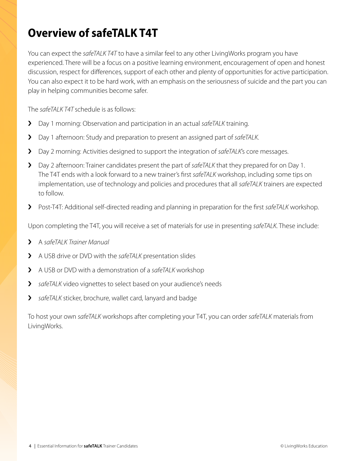## **Overview of safeTALK T4T**

You can expect the *safeTALK T4T* to have a similar feel to any other LivingWorks program you have experienced. There will be a focus on a positive learning environment, encouragement of open and honest discussion, respect for differences, support of each other and plenty of opportunities for active participation. You can also expect it to be hard work, with an emphasis on the seriousness of suicide and the part you can play in helping communities become safer.

The *safeTALK T4T* schedule is as follows:

- › Day 1 morning: Observation and participation in an actual *safeTALK* training.
- › Day 1 afternoon: Study and preparation to present an assigned part of *safeTALK*.
- › Day 2 morning: Activities designed to support the integration of *safeTALK*'s core messages.
- › Day 2 afternoon: Trainer candidates present the part of *safeTALK* that they prepared for on Day 1. The T4T ends with a look forward to a new trainer's first *safeTALK* workshop, including some tips on implementation, use of technology and policies and procedures that all *safeTALK* trainers are expected to follow.
- › Post-T4T: Additional self-directed reading and planning in preparation for the first *safeTALK* workshop.

Upon completing the T4T, you will receive a set of materials for use in presenting *safeTALK*. These include:

- › A *safeTALK Trainer Manual*
- › A USB drive or DVD with the *safeTALK* presentation slides
- › A USB or DVD with a demonstration of a *safeTALK* workshop
- › *safeTALK* video vignettes to select based on your audience's needs
- › *safeTALK* sticker, brochure, wallet card, lanyard and badge

To host your own *safeTALK* workshops after completing your T4T, you can order *safeTALK* materials from LivingWorks.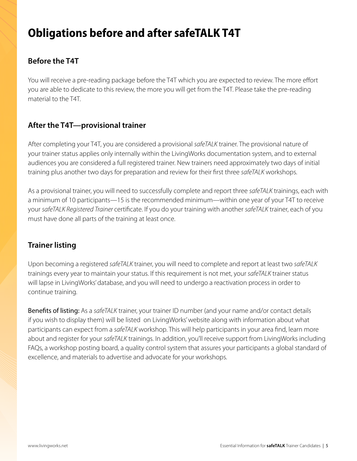## **Obligations before and after safeTALK T4T**

## **Before the T4T**

You will receive a pre-reading package before the T4T which you are expected to review. The more effort you are able to dedicate to this review, the more you will get from the T4T. Please take the pre-reading material to the T4T.

## **After the T4T—provisional trainer**

After completing your T4T, you are considered a provisional *safeTALK* trainer. The provisional nature of your trainer status applies only internally within the LivingWorks documentation system, and to external audiences you are considered a full registered trainer. New trainers need approximately two days of initial training plus another two days for preparation and review for their first three *safeTALK* workshops.

As a provisional trainer, you will need to successfully complete and report three *safeTALK* trainings, each with a minimum of 10 participants—15 is the recommended minimum—within one year of your T4T to receive your *safeTALK Registered Trainer* certificate. If you do your training with another *safeTALK* trainer, each of you must have done all parts of the training at least once.

### **Trainer listing**

Upon becoming a registered *safeTALK* trainer, you will need to complete and report at least two *safeTALK* trainings every year to maintain your status. If this requirement is not met, your *safeTALK* trainer status will lapse in LivingWorks' database, and you will need to undergo a reactivation process in order to continue training.

Benefits of listing: As a *safeTALK* trainer, your trainer ID number (and your name and/or contact details if you wish to display them) will be listed on LivingWorks' website along with information about what participants can expect from a *safeTALK* workshop. This will help participants in your area find, learn more about and register for your *safeTALK* trainings. In addition, you'll receive support from LivingWorks including FAQs, a workshop posting board, a quality control system that assures your participants a global standard of excellence, and materials to advertise and advocate for your workshops.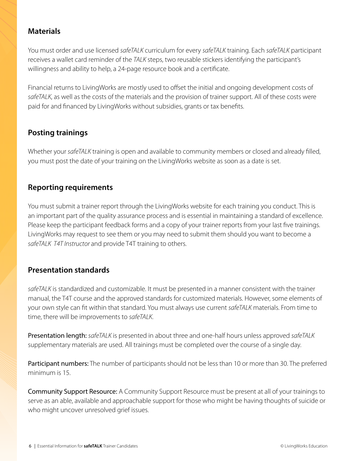### **Materials**

You must order and use licensed *safeTALK* curriculum for every *safeTALK* training. Each *safeTALK* participant receives a wallet card reminder of the *TALK* steps, two reusable stickers identifying the participant's willingness and ability to help, a 24-page resource book and a certificate.

Financial returns to LivingWorks are mostly used to offset the initial and ongoing development costs of *safeTALK*, as well as the costs of the materials and the provision of trainer support. All of these costs were paid for and financed by LivingWorks without subsidies, grants or tax benefits.

## **Posting trainings**

Whether your *safeTALK* training is open and available to community members or closed and already filled, you must post the date of your training on the LivingWorks website as soon as a date is set.

### **Reporting requirements**

You must submit a trainer report through the LivingWorks website for each training you conduct. This is an important part of the quality assurance process and is essential in maintaining a standard of excellence. Please keep the participant feedback forms and a copy of your trainer reports from your last five trainings. LivingWorks may request to see them or you may need to submit them should you want to become a *safeTALK T4T Instructor* and provide T4T training to others.

### **Presentation standards**

*safeTALK* is standardized and customizable. It must be presented in a manner consistent with the trainer manual, the T4T course and the approved standards for customized materials. However, some elements of your own style can fit within that standard. You must always use current *safeTALK* materials. From time to time, there will be improvements to *safeTALK*.

Presentation length: *safeTALK* is presented in about three and one-half hours unless approved *safeTALK* supplementary materials are used. All trainings must be completed over the course of a single day.

Participant numbers: The number of participants should not be less than 10 or more than 30. The preferred minimum is 15.

Community Support Resource: A Community Support Resource must be present at all of your trainings to serve as an able, available and approachable support for those who might be having thoughts of suicide or who might uncover unresolved grief issues.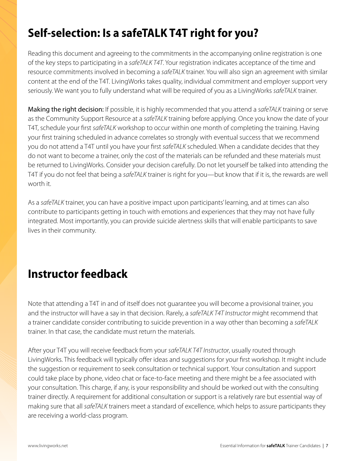## **Self-selection: Is a safeTALK T4T right for you?**

Reading this document and agreeing to the commitments in the accompanying online registration is one of the key steps to participating in a *safeTALK T4T*. Your registration indicates acceptance of the time and resource commitments involved in becoming a *safeTALK* trainer. You will also sign an agreement with similar content at the end of the T4T. LivingWorks takes quality, individual commitment and employer support very seriously. We want you to fully understand what will be required of you as a LivingWorks *safeTALK* trainer.

Making the right decision: If possible, it is highly recommended that you attend a *safeTALK* training or serve as the Community Support Resource at a *safeTALK* training before applying. Once you know the date of your T4T, schedule your first *safeTALK* workshop to occur within one month of completing the training. Having your first training scheduled in advance correlates so strongly with eventual success that we recommend you do not attend a T4T until you have your first *safeTALK* scheduled. When a candidate decides that they do not want to become a trainer, only the cost of the materials can be refunded and these materials must be returned to LivingWorks. Consider your decision carefully. Do not let yourself be talked into attending the T4T if you do not feel that being a *safeTALK* trainer is right for you—but know that if it is, the rewards are well worth it

As a *safeTALK* trainer, you can have a positive impact upon participants' learning, and at times can also contribute to participants getting in touch with emotions and experiences that they may not have fully integrated. Most importantly, you can provide suicide alertness skills that will enable participants to save lives in their community.

## **Instructor feedback**

Note that attending a T4T in and of itself does not guarantee you will become a provisional trainer, you and the instructor will have a say in that decision. Rarely, a *safeTALK T4T Instructor* might recommend that a trainer candidate consider contributing to suicide prevention in a way other than becoming a *safeTALK* trainer. In that case, the candidate must return the materials.

After your T4T you will receive feedback from your *safeTALK T4T Instructor*, usually routed through LivingWorks. This feedback will typically offer ideas and suggestions for your first workshop. It might include the suggestion or requirement to seek consultation or technical support. Your consultation and support could take place by phone, video chat or face-to-face meeting and there might be a fee associated with your consultation. This charge, if any, is your responsibility and should be worked out with the consulting trainer directly. A requirement for additional consultation or support is a relatively rare but essential way of making sure that all *safeTALK* trainers meet a standard of excellence, which helps to assure participants they are receiving a world-class program.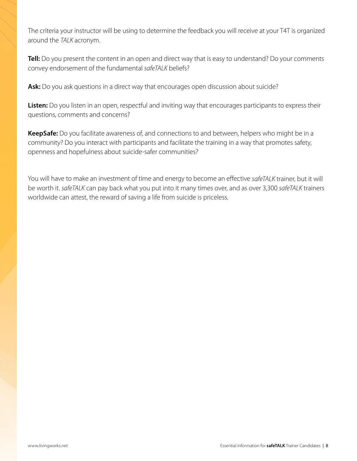The criteria your instructor will be using to determine the feedback you will receive at your T4T is organized around the *TALK* acronym.

**Tell:** Do you present the content in an open and direct way that is easy to understand? Do your comments convey endorsement of the fundamental *safeTALK* beliefs?

Ask: Do you ask questions in a direct way that encourages open discussion about suicide?

**Listen:** Do you listen in an open, respectful and inviting way that encourages participants to express their questions, comments and concerns?

**KeepSafe:** Do you facilitate awareness of, and connections to and between, helpers who might be in a community? Do you interact with participants and facilitate the training in a way that promotes safety, openness and hopefulness about suicide-safer communities?

You will have to make an investment of time and energy to become an effective *safeTALK* trainer, but it will be worth it. *safeTALK* can pay back what you put into it many times over, and as over 3,300 *safeTALK* trainers worldwide can attest, the reward of saving a life from suicide is priceless.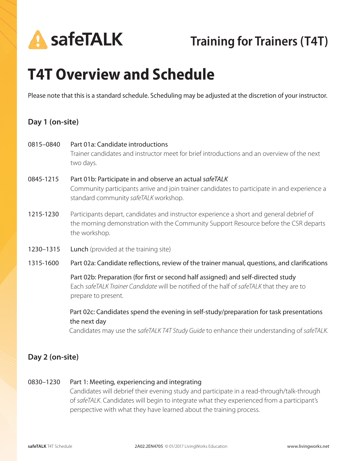

# **T4T Overview and Schedule**

Please note that this is a standard schedule. Scheduling may be adjusted at the discretion of your instructor.

### **Day 1 (on-site)**

| 0815-0840 | Part 01a: Candidate introductions<br>Trainer candidates and instructor meet for brief introductions and an overview of the next<br>two days.                                                          |
|-----------|-------------------------------------------------------------------------------------------------------------------------------------------------------------------------------------------------------|
| 0845-1215 | Part 01b: Participate in and observe an actual safeTALK<br>Community participants arrive and join trainer candidates to participate in and experience a<br>standard community safeTALK workshop.      |
| 1215-1230 | Participants depart, candidates and instructor experience a short and general debrief of<br>the morning demonstration with the Community Support Resource before the CSR departs<br>the workshop.     |
| 1230-1315 | <b>Lunch</b> (provided at the training site)                                                                                                                                                          |
|           |                                                                                                                                                                                                       |
| 1315-1600 | Part 02a: Candidate reflections, review of the trainer manual, questions, and clarifications                                                                                                          |
|           | Part 02b: Preparation (for first or second half assigned) and self-directed study<br>Each safeTALK Trainer Candidate will be notified of the half of safeTALK that they are to<br>prepare to present. |

### **Day 2 (on-site)**

#### 0830–1230 Part 1: Meeting, experiencing and integrating

Candidates will debrief their evening study and participate in a read-through/talk-through of *safeTALK*. Candidates will begin to integrate what they experienced from a participant's perspective with what they have learned about the training process.